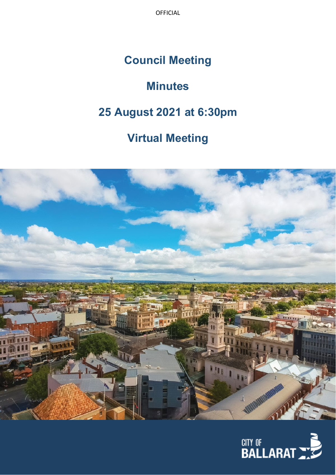## **Council Meeting**

# **Minutes**

## **25 August 2021 at 6:30pm**

## **Virtual Meeting**



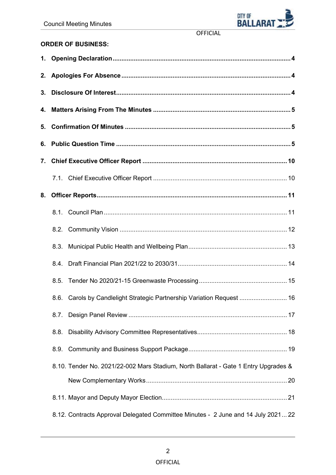

## **ORDER OF BUSINESS:**

| 5. |                                                                                     |  |
|----|-------------------------------------------------------------------------------------|--|
|    |                                                                                     |  |
| 7. |                                                                                     |  |
|    |                                                                                     |  |
| 8. |                                                                                     |  |
|    |                                                                                     |  |
|    |                                                                                     |  |
|    | 8.3.                                                                                |  |
|    |                                                                                     |  |
|    |                                                                                     |  |
|    | Carols by Candlelight Strategic Partnership Variation Request  16<br>8.6.           |  |
|    | 8.7.                                                                                |  |
|    | 8.8.                                                                                |  |
|    | 8.9.                                                                                |  |
|    | 8.10. Tender No. 2021/22-002 Mars Stadium, North Ballarat - Gate 1 Entry Upgrades & |  |
|    |                                                                                     |  |
|    |                                                                                     |  |
|    | 8.12. Contracts Approval Delegated Committee Minutes - 2 June and 14 July 202122    |  |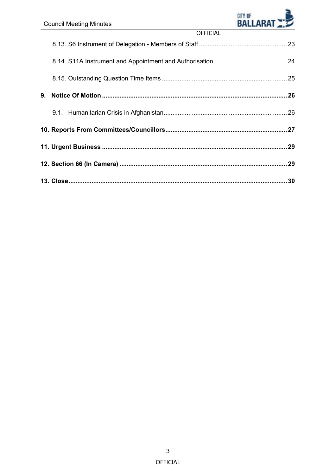

| <b>OFFICIAL</b> |  |
|-----------------|--|
|                 |  |
|                 |  |
|                 |  |
|                 |  |
|                 |  |
|                 |  |
|                 |  |
|                 |  |
|                 |  |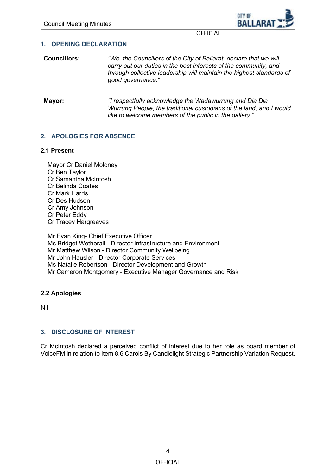

#### <span id="page-3-0"></span>**1. OPENING DECLARATION**

- **Councillors:** *"We, the Councillors of the City of Ballarat, declare that we will carry out our duties in the best interests of the community, and through collective leadership will maintain the highest standards of good governance."*
- **Mayor:** *"I respectfully acknowledge the Wadawurrung and Dja Dja Wurrung People, the traditional custodians of the land, and I would like to welcome members of the public in the gallery."*

#### **2. APOLOGIES FOR ABSENCE**

#### **2.1 Present**

Mayor Cr Daniel Moloney Cr Ben Taylor Cr Samantha McIntosh Cr Belinda Coates Cr Mark Harris Cr Des Hudson Cr Amy Johnson Cr Peter Eddy Cr Tracey Hargreaves Mr Evan King- Chief Executive Officer

Ms Bridget Wetherall - Director Infrastructure and Environment Mr Matthew Wilson - Director Community Wellbeing Mr John Hausler - Director Corporate Services Ms Natalie Robertson - Director Development and Growth Mr Cameron Montgomery - Executive Manager Governance and Risk

## **2.2 Apologies**

Nil

## **3. DISCLOSURE OF INTEREST**

Cr McIntosh declared a perceived conflict of interest due to her role as board member of VoiceFM in relation to Item 8.6 Carols By Candlelight Strategic Partnership Variation Request.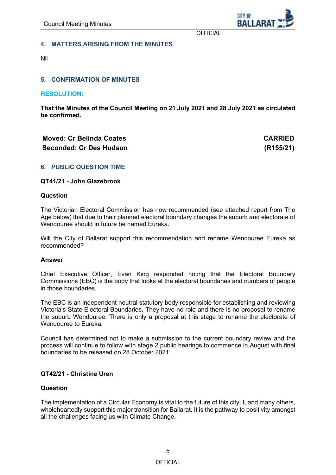**RAILAR** 

OFFICIAL

#### <span id="page-4-0"></span>**4. MATTERS ARISING FROM THE MINUTES**

Nil

## **5. CONFIRMATION OF MINUTES**

**RESOLUTION:**

**That the Minutes of the Council Meeting on 21 July 2021 and 28 July 2021 as circulated be confirmed.**

## **Moved: Cr Belinda Coates CARRIED Seconded: Cr Des Hudson (R155/21)**

#### **6. PUBLIC QUESTION TIME**

#### **QT41/21 - John Glazebrook**

#### **Question**

The Victorian Electoral Commission has now recommended (see attached report from The Age below) that due to their planned electoral boundary changes the suburb and electorate of Wendouree should in future be named Eureka.

Will the City of Ballarat support this recommendation and rename Wendouree Eureka as recommended?

#### **Answer**

Chief Executive Officer, Evan King responded noting that the Electoral Boundary Commissions (EBC) is the body that looks at the electoral boundaries and numbers of people in those boundaries.

The EBC is an independent neutral statutory body responsible for establishing and reviewing Victoria's State Electoral Boundaries. They have no role and there is no proposal to rename the suburb Wendouree. There is only a proposal at this stage to rename the electorate of Wendouree to Eureka.

Council has determined not to make a submission to the current boundary review and the process will continue to follow with stage 2 public hearings to commence in August with final boundaries to be released on 28 October 2021.

## **QT42/21 - Christine Uren**

#### **Question**

The implementation of a Circular Economy is vital to the future of this city. I, and many others, wholeheartedly support this major transition for Ballarat. It is the pathway to positivity amongst all the challenges facing us with Climate Change.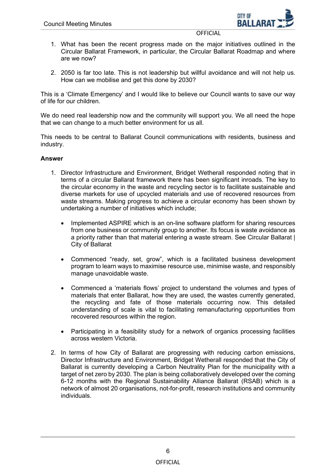

- 1. What has been the recent progress made on the major initiatives outlined in the Circular Ballarat Framework, in particular, the Circular Ballarat Roadmap and where are we now?
- 2. 2050 is far too late. This is not leadership but willful avoidance and will not help us. How can we mobilise and get this done by 2030?

This is a 'Climate Emergency' and I would like to believe our Council wants to save our way of life for our children.

We do need real leadership now and the community will support you. We all need the hope that we can change to a much better environment for us all.

This needs to be central to Ballarat Council communications with residents, business and industry.

## **Answer**

- 1. Director Infrastructure and Environment, Bridget Wetherall responded noting that in terms of a circular Ballarat framework there has been significant inroads. The key to the circular economy in the waste and recycling sector is to facilitate sustainable and diverse markets for use of upcycled materials and use of recovered resources from waste streams. Making progress to achieve a circular economy has been shown by undertaking a number of initiatives which include;
	- Implemented ASPIRE which is an on-line software platform for sharing resources from one business or community group to another. Its focus is waste avoidance as a priority rather than that material entering a waste stream. See Circular Ballarat | City of Ballarat
	- Commenced "ready, set, grow", which is a facilitated business development program to learn ways to maximise resource use, minimise waste, and responsibly manage unavoidable waste.
	- Commenced a 'materials flows' project to understand the volumes and types of materials that enter Ballarat, how they are used, the wastes currently generated, the recycling and fate of those materials occurring now. This detailed understanding of scale is vital to facilitating remanufacturing opportunities from recovered resources within the region.
	- Participating in a feasibility study for a network of organics processing facilities across western Victoria.
- 2. In terms of how City of Ballarat are progressing with reducing carbon emissions, Director Infrastructure and Environment, Bridget Wetherall responded that the City of Ballarat is currently developing a Carbon Neutrality Plan for the municipality with a target of net zero by 2030. The plan is being collaboratively developed over the coming 6-12 months with the Regional Sustainability Alliance Ballarat (RSAB) which is a network of almost 20 organisations, not-for-profit, research institutions and community individuals.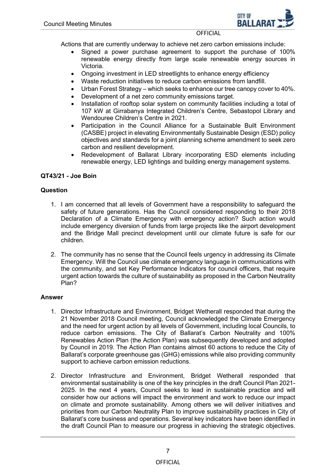

Actions that are currently underway to achieve net zero carbon emissions include:

- Signed a power purchase agreement to support the purchase of 100% renewable energy directly from large scale renewable energy sources in Victoria.
- Ongoing investment in LED streetlights to enhance energy efficiency
- Waste reduction initiatives to reduce carbon emissions from landfill.
- Urban Forest Strategy which seeks to enhance our tree canopy cover to 40%.
- Development of a net zero community emissions target.
- Installation of rooftop solar system on community facilities including a total of 107 kW at Girrabanya Integrated Children's Centre, Sebastopol Library and Wendouree Children's Centre in 2021.
- Participation in the Council Alliance for a Sustainable Built Environment (CASBE) project in elevating Environmentally Sustainable Design (ESD) policy objectives and standards for a joint planning scheme amendment to seek zero carbon and resilient development.
- Redevelopment of Ballarat Library incorporating ESD elements including renewable energy, LED lightings and building energy management systems.

## **QT43/21 - Joe Boin**

## **Question**

- 1. I am concerned that all levels of Government have a responsibility to safeguard the safety of future generations. Has the Council considered responding to their 2018 Declaration of a Climate Emergency with emergency action? Such action would include emergency diversion of funds from large projects like the airport development and the Bridge Mall precinct development until our climate future is safe for our children.
- 2. The community has no sense that the Council feels urgency in addressing its Climate Emergency. Will the Council use climate emergency language in communications with the community, and set Key Performance Indicators for council officers, that require urgent action towards the culture of sustainability as proposed in the Carbon Neutrality Plan?

## **Answer**

- 1. Director Infrastructure and Environment, Bridget Wetherall responded that during the 21 November 2018 Council meeting, Council acknowledged the Climate Emergency and the need for urgent action by all levels of Government, including local Councils, to reduce carbon emissions. The City of Ballarat's Carbon Neutrality and 100% Renewables Action Plan (the Action Plan) was subsequently developed and adopted by Council in 2019. The Action Plan contains almost 60 actions to reduce the City of Ballarat's corporate greenhouse gas (GHG) emissions while also providing community support to achieve carbon emission reductions.
- 2. Director Infrastructure and Environment, Bridget Wetherall responded that environmental sustainability is one of the key principles in the draft Council Plan 2021- 2025. In the next 4 years, Council seeks to lead in sustainable practice and will consider how our actions will impact the environment and work to reduce our impact on climate and promote sustainability. Among others we will deliver initiatives and priorities from our Carbon Neutrality Plan to improve sustainability practices in City of Ballarat's core business and operations. Several key indicators have been identified in the draft Council Plan to measure our progress in achieving the strategic objectives.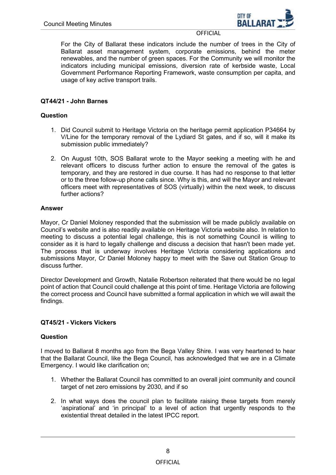

For the City of Ballarat these indicators include the number of trees in the City of Ballarat asset management system, corporate emissions, behind the meter renewables, and the number of green spaces. For the Community we will monitor the indicators including municipal emissions, diversion rate of kerbside waste, Local Government Performance Reporting Framework, waste consumption per capita, and usage of key active transport trails.

## **QT44/21 - John Barnes**

## **Question**

- 1. Did Council submit to Heritage Victoria on the heritage permit application P34664 by V/Line for the temporary removal of the Lydiard St gates, and if so, will it make its submission public immediately?
- 2. On August 10th, SOS Ballarat wrote to the Mayor seeking a meeting with he and relevant officers to discuss further action to ensure the removal of the gates is temporary, and they are restored in due course. It has had no response to that letter or to the three follow-up phone calls since. Why is this, and will the Mayor and relevant officers meet with representatives of SOS (virtually) within the next week, to discuss further actions?

## **Answer**

Mayor, Cr Daniel Moloney responded that the submission will be made publicly available on Council's website and is also readily available on Heritage Victoria website also. In relation to meeting to discuss a potential legal challenge, this is not something Council is willing to consider as it is hard to legally challenge and discuss a decision that hasn't been made yet. The process that is underway involves Heritage Victoria considering applications and submissions Mayor, Cr Daniel Moloney happy to meet with the Save out Station Group to discuss further.

Director Development and Growth, Natalie Robertson reiterated that there would be no legal point of action that Council could challenge at this point of time. Heritage Victoria are following the correct process and Council have submitted a formal application in which we will await the findings.

## **QT45/21 - Vickers Vickers**

## **Question**

I moved to Ballarat 8 months ago from the Bega Valley Shire. I was very heartened to hear that the Ballarat Council, like the Bega Council, has acknowledged that we are in a Climate Emergency. I would like clarification on;

- 1. Whether the Ballarat Council has committed to an overall joint community and council target of net zero emissions by 2030, and if so
- 2. In what ways does the council plan to facilitate raising these targets from merely 'aspirational' and 'in principal' to a level of action that urgently responds to the existential threat detailed in the latest IPCC report.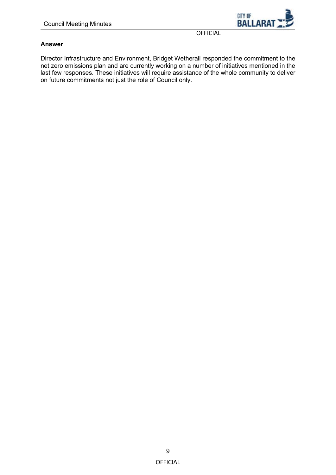

## **Answer**

Director Infrastructure and Environment, Bridget Wetherall responded the commitment to the net zero emissions plan and are currently working on a number of initiatives mentioned in the last few responses. These initiatives will require assistance of the whole community to deliver on future commitments not just the role of Council only.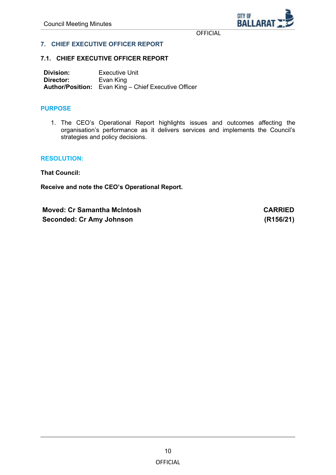CITY OF **BALLARA** 

**OFFICIAL** 

## <span id="page-9-0"></span>**7. CHIEF EXECUTIVE OFFICER REPORT**

#### **7.1. CHIEF EXECUTIVE OFFICER REPORT**

**Division:** Executive Unit<br> **Director:** Evan King **Evan King Author/Position:** Evan King – Chief Executive Officer

#### **PURPOSE**

1. The CEO's Operational Report highlights issues and outcomes affecting the organisation's performance as it delivers services and implements the Council's strategies and policy decisions.

#### **RESOLUTION:**

**That Council:**

**Receive and note the CEO's Operational Report.**

**Moved: Cr Samantha McIntosh CARRIED Seconded: Cr Amy Johnson (R156/21)**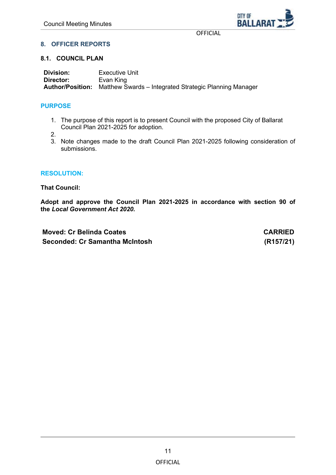CITY OF **BALLARA** 

**OFFICIAL** 

## <span id="page-10-0"></span>**8. OFFICER REPORTS**

#### **8.1. COUNCIL PLAN**

**Division:** Executive Unit<br> **Director:** Evan King **Director:** Evan King **Author/Position:** Matthew Swards – Integrated Strategic Planning Manager

## **PURPOSE**

1. The purpose of this report is to present Council with the proposed City of Ballarat Council Plan 2021-2025 for adoption.

2.

3. Note changes made to the draft Council Plan 2021-2025 following consideration of submissions.

#### **RESOLUTION:**

**That Council:**

**Adopt and approve the Council Plan 2021-2025 in accordance with section 90 of the** *Local Government Act 2020.*

**Moved: Cr Belinda Coates CARRIED Seconded: Cr Samantha McIntosh (R157/21)**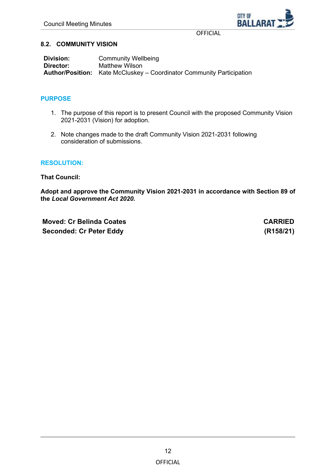

## <span id="page-11-0"></span>**8.2. COMMUNITY VISION**

**Division:** Community Wellbeing<br> **Director:** Matthew Wilson **Matthew Wilson Author/Position:** Kate McCluskey – Coordinator Community Participation

## **PURPOSE**

- 1. The purpose of this report is to present Council with the proposed Community Vision 2021-2031 (Vision) for adoption.
- 2. Note changes made to the draft Community Vision 2021-2031 following consideration of submissions.

## **RESOLUTION:**

**That Council:**

**Adopt and approve the Community Vision 2021-2031 in accordance with Section 89 of the** *Local Government Act 2020.*

**Moved: Cr Belinda Coates CARRIED Seconded: Cr Peter Eddy (R158/21)**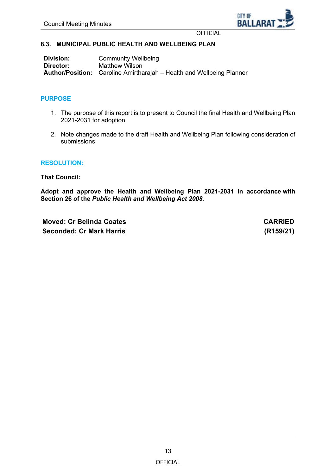

#### <span id="page-12-0"></span>**8.3. MUNICIPAL PUBLIC HEALTH AND WELLBEING PLAN**

| Division: | <b>Community Wellbeing</b>                                                   |
|-----------|------------------------------------------------------------------------------|
| Director: | Matthew Wilson                                                               |
|           | <b>Author/Position:</b> Caroline Amirtharajah – Health and Wellbeing Planner |

#### **PURPOSE**

- 1. The purpose of this report is to present to Council the final Health and Wellbeing Plan 2021-2031 for adoption.
- 2. Note changes made to the draft Health and Wellbeing Plan following consideration of submissions.

#### **RESOLUTION:**

**That Council:**

**Adopt and approve the Health and Wellbeing Plan 2021-2031 in accordance with Section 26 of the** *Public Health and Wellbeing Act 2008.*

**Moved: Cr Belinda Coates CARRIED Seconded: Cr Mark Harris (R159/21)**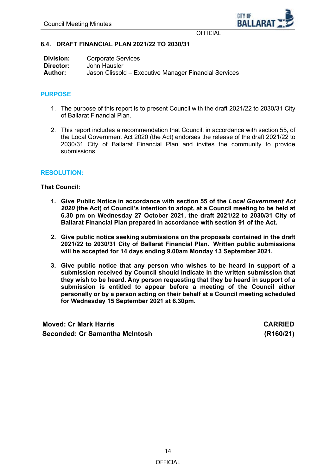

## <span id="page-13-0"></span>**8.4. DRAFT FINANCIAL PLAN 2021/22 TO 2030/31**

| Division: | <b>Corporate Services</b>                             |
|-----------|-------------------------------------------------------|
| Director: | John Hausler                                          |
| Author:   | Jason Clissold – Executive Manager Financial Services |

## **PURPOSE**

- 1. The purpose of this report is to present Council with the draft 2021/22 to 2030/31 City of Ballarat Financial Plan.
- 2. This report includes a recommendation that Council, in accordance with section 55, of the Local Government Act 2020 (the Act) endorses the release of the draft 2021/22 to 2030/31 City of Ballarat Financial Plan and invites the community to provide submissions.

#### **RESOLUTION:**

#### **That Council:**

- **1. Give Public Notice in accordance with section 55 of the** *Local Government Act 2020* **(the Act) of Council's intention to adopt, at a Council meeting to be held at 6.30 pm on Wednesday 27 October 2021, the draft 2021/22 to 2030/31 City of Ballarat Financial Plan prepared in accordance with section 91 of the Act.**
- **2. Give public notice seeking submissions on the proposals contained in the draft 2021/22 to 2030/31 City of Ballarat Financial Plan. Written public submissions will be accepted for 14 days ending 9.00am Monday 13 September 2021.**
- **3. Give public notice that any person who wishes to be heard in support of a submission received by Council should indicate in the written submission that they wish to be heard. Any person requesting that they be heard in support of a submission is entitled to appear before a meeting of the Council either personally or by a person acting on their behalf at a Council meeting scheduled for Wednesday 15 September 2021 at 6.30pm.**

**Moved: Cr Mark Harris CARRIED Seconded: Cr Samantha McIntosh (R160/21)**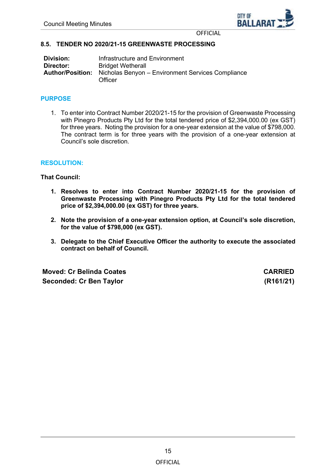

## <span id="page-14-0"></span>**8.5. TENDER NO 2020/21-15 GREENWASTE PROCESSING**

| Division: | Infrastructure and Environment                                                       |
|-----------|--------------------------------------------------------------------------------------|
| Director: | <b>Bridget Wetherall</b>                                                             |
|           | <b>Author/Position:</b> Nicholas Benyon – Environment Services Compliance<br>Officer |

#### **PURPOSE**

1. To enter into Contract Number 2020/21-15 for the provision of Greenwaste Processing with Pinegro Products Pty Ltd for the total tendered price of \$2,394,000.00 (ex GST) for three years. Noting the provision for a one-year extension at the value of \$798,000. The contract term is for three years with the provision of a one-year extension at Council's sole discretion.

#### **RESOLUTION:**

**That Council:**

- **1. Resolves to enter into Contract Number 2020/21-15 for the provision of Greenwaste Processing with Pinegro Products Pty Ltd for the total tendered price of \$2,394,000.00 (ex GST) for three years.**
- **2. Note the provision of a one-year extension option, at Council's sole discretion, for the value of \$798,000 (ex GST).**
- **3. Delegate to the Chief Executive Officer the authority to execute the associated contract on behalf of Council.**

**Moved: Cr Belinda Coates CARRIED Seconded: Cr Ben Taylor (R161/21)**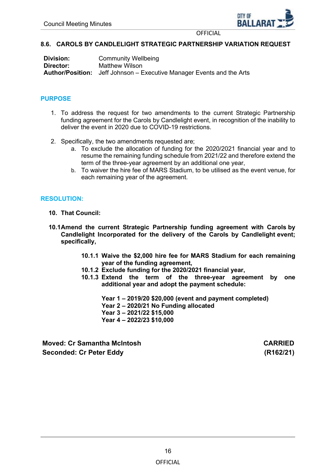

## <span id="page-15-0"></span>**8.6. CAROLS BY CANDLELIGHT STRATEGIC PARTNERSHIP VARIATION REQUEST**

| Division: | <b>Community Wellbeing</b>                                                   |
|-----------|------------------------------------------------------------------------------|
| Director: | Matthew Wilson                                                               |
|           | <b>Author/Position:</b> Jeff Johnson – Executive Manager Events and the Arts |

## **PURPOSE**

- 1. To address the request for two amendments to the current Strategic Partnership funding agreement for the Carols by Candlelight event, in recognition of the inability to deliver the event in 2020 due to COVID-19 restrictions.
- 2. Specifically, the two amendments requested are;
	- a. To exclude the allocation of funding for the 2020/2021 financial year and to resume the remaining funding schedule from 2021/22 and therefore extend the term of the three-year agreement by an additional one year,
	- b. To waiver the hire fee of MARS Stadium, to be utilised as the event venue, for each remaining year of the agreement.

## **RESOLUTION:**

- **10. That Council:**
- **10.1Amend the current Strategic Partnership funding agreement with Carols by Candlelight Incorporated for the delivery of the Carols by Candlelight event; specifically,**
	- **10.1.1 Waive the \$2,000 hire fee for MARS Stadium for each remaining year of the funding agreement,**
	- **10.1.2 Exclude funding for the 2020/2021 financial year,**
	- **10.1.3 Extend the term of the three-year agreement by one additional year and adopt the payment schedule:**

**Year 1 – 2019/20 \$20,000 (event and payment completed) Year 2 – 2020/21 No Funding allocated Year 3 – 2021/22 \$15,000 Year 4 – 2022/23 \$10,000** 

**Moved: Cr Samantha McIntosh CARRIED Seconded: Cr Peter Eddy (R162/21)**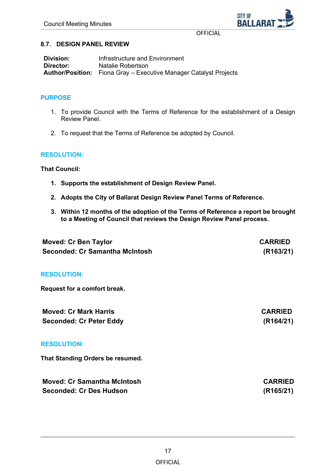CITY OF **BALLARA** 

**OFFICIAL** 

#### <span id="page-16-0"></span>**8.7. DESIGN PANEL REVIEW**

| <b>Division:</b> | Infrastructure and Environment                                           |
|------------------|--------------------------------------------------------------------------|
| Director:        | Natalie Robertson                                                        |
|                  | <b>Author/Position:</b> Fiona Gray – Executive Manager Catalyst Projects |

## **PURPOSE**

- 1. To provide Council with the Terms of Reference for the establishment of a Design Review Panel.
- 2. To request that the Terms of Reference be adopted by Council.

#### **RESOLUTION:**

**That Council:**

- **1. Supports the establishment of Design Review Panel.**
- **2. Adopts the City of Ballarat Design Review Panel Terms of Reference.**
- **3. Within 12 months of the adoption of the Terms of Reference a report be brought to a Meeting of Council that reviews the Design Review Panel process.**

| <b>Moved: Cr Ben Taylor</b>        | <b>CARRIED</b> |
|------------------------------------|----------------|
| Seconded: Cr Samantha McIntosh     | (R163/21)      |
| <b>RESOLUTION:</b>                 |                |
| Request for a comfort break.       |                |
| <b>Moved: Cr Mark Harris</b>       | <b>CARRIED</b> |
| <b>Seconded: Cr Peter Eddy</b>     | (R164/21)      |
| <b>RESOLUTION:</b>                 |                |
| That Standing Orders be resumed.   |                |
| <b>Moved: Cr Samantha McIntosh</b> | <b>CARRIED</b> |
| <b>Seconded: Cr Des Hudson</b>     | (R165/21)      |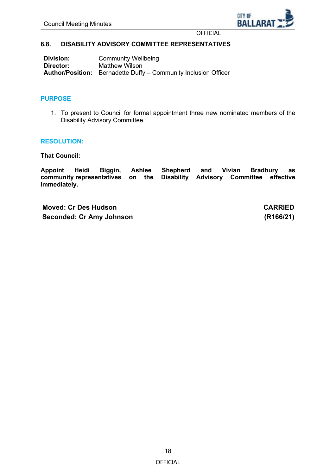

## <span id="page-17-0"></span>**8.8. DISABILITY ADVISORY COMMITTEE REPRESENTATIVES**

**Division:** Community Wellbeing<br> **Director:** Matthew Wilson **Matthew Wilson Author/Position:** Bernadette Duffy – Community Inclusion Officer

## **PURPOSE**

1. To present to Council for formal appointment three new nominated members of the Disability Advisory Committee.

#### **RESOLUTION:**

**That Council:**

**Appoint Heidi Biggin, Ashlee Shepherd and Vivian Bradbury as community representatives on the Disability Advisory Committee effective immediately.**

**Moved: Cr Des Hudson CARRIED Seconded: Cr Amy Johnson (R166/21)**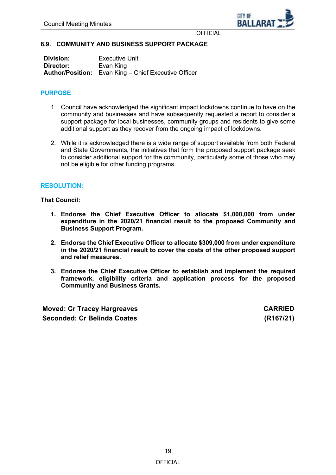

## <span id="page-18-0"></span>**8.9. COMMUNITY AND BUSINESS SUPPORT PACKAGE**

| <b>Division:</b> | <b>Executive Unit</b>                                       |
|------------------|-------------------------------------------------------------|
| Director:        | Evan King                                                   |
|                  | <b>Author/Position:</b> Evan King – Chief Executive Officer |

## **PURPOSE**

- 1. Council have acknowledged the significant impact lockdowns continue to have on the community and businesses and have subsequently requested a report to consider a support package for local businesses, community groups and residents to give some additional support as they recover from the ongoing impact of lockdowns.
- 2. While it is acknowledged there is a wide range of support available from both Federal and State Governments, the initiatives that form the proposed support package seek to consider additional support for the community, particularly some of those who may not be eligible for other funding programs.

## **RESOLUTION:**

**That Council:**

- **1. Endorse the Chief Executive Officer to allocate \$1,000,000 from under expenditure in the 2020/21 financial result to the proposed Community and Business Support Program.**
- **2. Endorse the Chief Executive Officer to allocate \$309,000 from under expenditure in the 2020/21 financial result to cover the costs of the other proposed support and relief measures.**
- **3. Endorse the Chief Executive Officer to establish and implement the required framework, eligibility criteria and application process for the proposed Community and Business Grants.**

**Moved: Cr Tracey Hargreaves CARRIED Seconded: Cr Belinda Coates (R167/21)**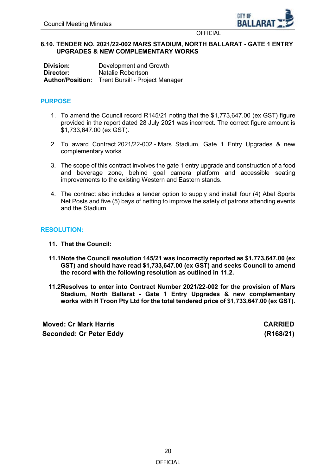

## <span id="page-19-0"></span>**8.10. TENDER NO. 2021/22-002 MARS STADIUM, NORTH BALLARAT - GATE 1 ENTRY UPGRADES & NEW COMPLEMENTARY WORKS**

**Division:** Development and Growth<br> **Director:** Natalie Robertson **Director:** Natalie Robertson **Author/Position:** Trent Bursill - Project Manager

## **PURPOSE**

- 1. To amend the Council record R145/21 noting that the \$1,773,647.00 (ex GST) figure provided in the report dated 28 July 2021 was incorrect. The correct figure amount is \$1,733,647.00 (ex GST).
- 2. To award Contract 2021/22-002 Mars Stadium, Gate 1 Entry Upgrades & new complementary works
- 3. The scope of this contract involves the gate 1 entry upgrade and construction of a food and beverage zone, behind goal camera platform and accessible seating improvements to the existing Western and Eastern stands.
- 4. The contract also includes a tender option to supply and install four (4) Abel Sports Net Posts and five (5) bays of netting to improve the safety of patrons attending events and the Stadium.

## **RESOLUTION:**

- **11. That the Council:**
- **11.1Note the Council resolution 145/21 was incorrectly reported as \$1,773,647.00 (ex GST) and should have read \$1,733,647.00 (ex GST) and seeks Council to amend the record with the following resolution as outlined in 11.2.**
- **11.2Resolves to enter into Contract Number 2021/22-002 for the provision of Mars Stadium, North Ballarat - Gate 1 Entry Upgrades & new complementary works with H Troon Pty Ltd for the total tendered price of \$1,733,647.00 (ex GST).**

**Moved: Cr Mark Harris CARRIED Seconded: Cr Peter Eddy (R168/21)**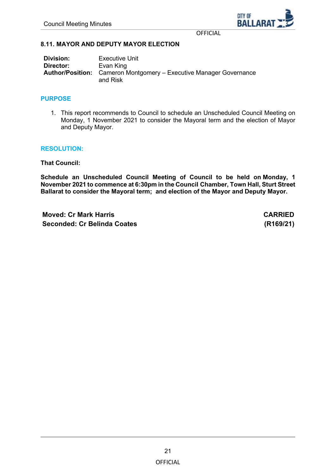

## <span id="page-20-0"></span>**8.11. MAYOR AND DEPUTY MAYOR ELECTION**

**Division:** Executive Unit<br> **Director:** Fyan King **Director:** Evan King **Author/Position:** Cameron Montgomery – Executive Manager Governance and Risk

#### **PURPOSE**

1. This report recommends to Council to schedule an Unscheduled Council Meeting on Monday, 1 November 2021 to consider the Mayoral term and the election of Mayor and Deputy Mayor.

#### **RESOLUTION:**

**That Council:**

**Schedule an Unscheduled Council Meeting of Council to be held on Monday, 1 November 2021 to commence at 6:30pm in the Council Chamber, Town Hall, Sturt Street Ballarat to consider the Mayoral term; and election of the Mayor and Deputy Mayor.**

**Moved: Cr Mark Harris CARRIED Seconded: Cr Belinda Coates (R169/21)**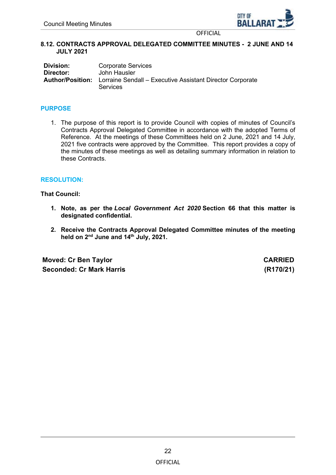

## <span id="page-21-0"></span>**8.12. CONTRACTS APPROVAL DELEGATED COMMITTEE MINUTES - 2 JUNE AND 14 JULY 2021**

| Division:        | <b>Corporate Services</b>                                 |
|------------------|-----------------------------------------------------------|
| Director:        | John Hausler                                              |
| Author/Position: | Lorraine Sendall – Executive Assistant Director Corporate |
|                  | <b>Services</b>                                           |

## **PURPOSE**

1. The purpose of this report is to provide Council with copies of minutes of Council's Contracts Approval Delegated Committee in accordance with the adopted Terms of Reference. At the meetings of these Committees held on 2 June, 2021 and 14 July, 2021 five contracts were approved by the Committee. This report provides a copy of the minutes of these meetings as well as detailing summary information in relation to these Contracts.

#### **RESOLUTION:**

**That Council:**

- **1. Note, as per the** *Local Government Act 2020* **Section 66 that this matter is designated confidential.**
- **2. Receive the Contracts Approval Delegated Committee minutes of the meeting held on 2nd June and 14th July, 2021.**

**Moved: Cr Ben Taylor CARRIED Seconded: Cr Mark Harris (R170/21)**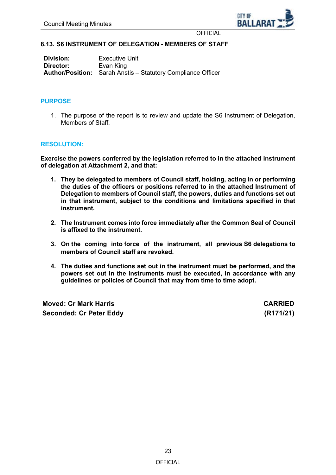

## <span id="page-22-0"></span>**8.13. S6 INSTRUMENT OF DELEGATION - MEMBERS OF STAFF**

**Division:** Executive Unit<br> **Director:** Evan King **Evan King Author/Position:** Sarah Anstis – Statutory Compliance Officer

#### **PURPOSE**

1. The purpose of the report is to review and update the S6 Instrument of Delegation, Members of Staff.

#### **RESOLUTION:**

**Exercise the powers conferred by the legislation referred to in the attached instrument of delegation at Attachment 2, and that:**

- **1. They be delegated to members of Council staff, holding, acting in or performing the duties of the officers or positions referred to in the attached Instrument of Delegation to members of Council staff, the powers, duties and functions set out in that instrument, subject to the conditions and limitations specified in that instrument.**
- **2. The Instrument comes into force immediately after the Common Seal of Council is affixed to the instrument.**
- **3. On the coming into force of the instrument, all previous S6 delegations to members of Council staff are revoked.**
- **4. The duties and functions set out in the instrument must be performed, and the powers set out in the instruments must be executed, in accordance with any guidelines or policies of Council that may from time to time adopt.**

**Moved: Cr Mark Harris CARRIED Seconded: Cr Peter Eddy (R171/21)**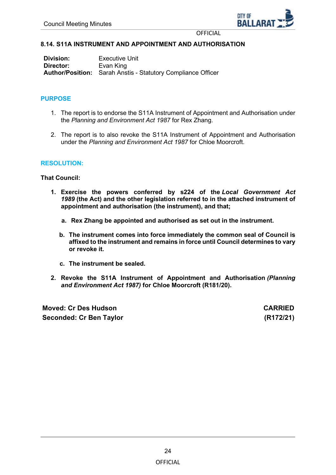

## <span id="page-23-0"></span>**8.14. S11A INSTRUMENT AND APPOINTMENT AND AUTHORISATION**

**Division:** Executive Unit<br> **Director:** Evan King **Evan King Author/Position:** Sarah Anstis - Statutory Compliance Officer

## **PURPOSE**

- 1. The report is to endorse the S11A Instrument of Appointment and Authorisation under the *Planning and Environment Act 1987* for Rex Zhang.
- 2. The report is to also revoke the S11A Instrument of Appointment and Authorisation under the *Planning and Environment Act 1987* for Chloe Moorcroft.

#### **RESOLUTION:**

**That Council:**

- **1. Exercise the powers conferred by s224 of the** *Local Government Act 1989* **(the Act) and the other legislation referred to in the attached instrument of appointment and authorisation (the instrument), and that;**
	- **a. Rex Zhang be appointed and authorised as set out in the instrument.**
	- **b. The instrument comes into force immediately the common seal of Council is affixed to the instrument and remains in force until Council determines to vary or revoke it.**
	- **c. The instrument be sealed.**
- **2. Revoke the S11A Instrument of Appointment and Authorisation** *(Planning and Environment Act 1987)* **for Chloe Moorcroft (R181/20).**

**Moved: Cr Des Hudson CARRIED Seconded: Cr Ben Taylor (R172/21)**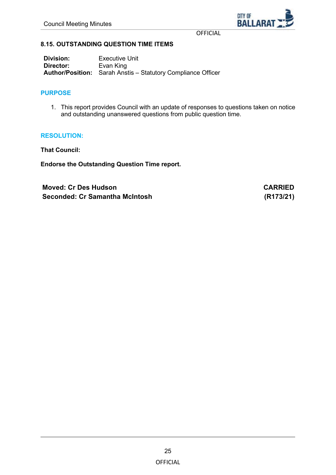

## <span id="page-24-0"></span>**8.15. OUTSTANDING QUESTION TIME ITEMS**

**Division:** Executive Unit<br> **Director:** Evan King **Evan King Author/Position:** Sarah Anstis – Statutory Compliance Officer

## **PURPOSE**

1. This report provides Council with an update of responses to questions taken on notice and outstanding unanswered questions from public question time.

#### **RESOLUTION:**

**That Council:**

**Endorse the Outstanding Question Time report.**

**Moved: Cr Des Hudson CARRIED Seconded: Cr Samantha McIntosh (R173/21)**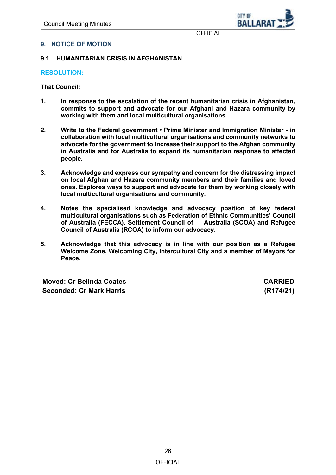

## <span id="page-25-0"></span>**9. NOTICE OF MOTION**

## **9.1. HUMANITARIAN CRISIS IN AFGHANISTAN**

#### **RESOLUTION:**

**That Council:**

- **1. In response to the escalation of the recent humanitarian crisis in Afghanistan, commits to support and advocate for our Afghani and Hazara community by working with them and local multicultural organisations.**
- **2. Write to the Federal government Prime Minister and Immigration Minister - in collaboration with local multicultural organisations and community networks to advocate for the government to increase their support to the Afghan community in Australia and for Australia to expand its humanitarian response to affected people.**
- **3. Acknowledge and express our sympathy and concern for the distressing impact on local Afghan and Hazara community members and their families and loved ones. Explores ways to support and advocate for them by working closely with local multicultural organisations and community.**
- **4. Notes the specialised knowledge and advocacy position of key federal multicultural organisations such as Federation of Ethnic Communities' Council**  of Australia (FECCA), Settlement Council of **Council of Australia (RCOA) to inform our advocacy.**
- **5. Acknowledge that this advocacy is in line with our position as a Refugee Welcome Zone, Welcoming City, lntercultural City and a member of Mayors for Peace.**

**Moved: Cr Belinda Coates CARRIED Seconded: Cr Mark Harris (R174/21)**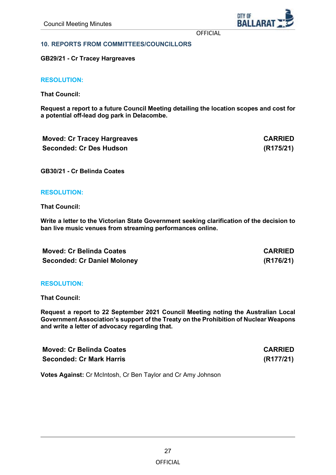CITY OF **BALLAR** 

**OFFICIAL** 

#### <span id="page-26-0"></span>**10. REPORTS FROM COMMITTEES/COUNCILLORS**

**GB29/21 - Cr Tracey Hargreaves**

**RESOLUTION:**

**That Council:**

**Request a report to a future Council Meeting detailing the location scopes and cost for a potential off-lead dog park in Delacombe.** 

| <b>Moved: Cr Tracey Hargreaves</b> | <b>CARRIED</b> |
|------------------------------------|----------------|
| <b>Seconded: Cr Des Hudson</b>     | (R175/21)      |

**GB30/21 - Cr Belinda Coates**

#### **RESOLUTION:**

**That Council:**

**Write a letter to the Victorian State Government seeking clarification of the decision to ban live music venues from streaming performances online.** 

| <b>Moved: Cr Belinda Coates</b>    | <b>CARRIED</b> |
|------------------------------------|----------------|
| <b>Seconded: Cr Daniel Moloney</b> | (R176/21)      |

#### **RESOLUTION:**

**That Council:**

**Request a report to 22 September 2021 Council Meeting noting the Australian Local Government Association's support of the Treaty on the Prohibition of Nuclear Weapons and write a letter of advocacy regarding that.** 

| <b>Moved: Cr Belinda Coates</b> | <b>CARRIED</b> |
|---------------------------------|----------------|
| <b>Seconded: Cr Mark Harris</b> | (R177/21)      |

**Votes Against:** Cr McIntosh, Cr Ben Taylor and Cr Amy Johnson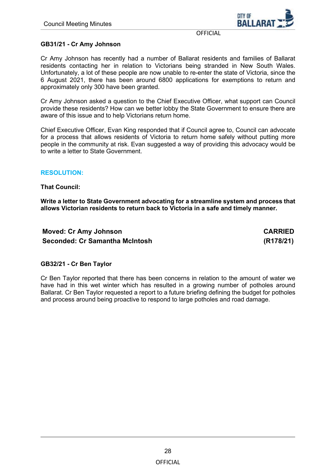

## **GB31/21 - Cr Amy Johnson**

Cr Amy Johnson has recently had a number of Ballarat residents and families of Ballarat residents contacting her in relation to Victorians being stranded in New South Wales. Unfortunately, a lot of these people are now unable to re-enter the state of Victoria, since the 6 August 2021, there has been around 6800 applications for exemptions to return and approximately only 300 have been granted.

Cr Amy Johnson asked a question to the Chief Executive Officer, what support can Council provide these residents? How can we better lobby the State Government to ensure there are aware of this issue and to help Victorians return home.

Chief Executive Officer, Evan King responded that if Council agree to, Council can advocate for a process that allows residents of Victoria to return home safely without putting more people in the community at risk. Evan suggested a way of providing this advocacy would be to write a letter to State Government.

#### **RESOLUTION:**

#### **That Council:**

**Write a letter to State Government advocating for a streamline system and process that allows Victorian residents to return back to Victoria in a safe and timely manner.** 

**Moved: Cr Amy Johnson CARRIED Seconded: Cr Samantha McIntosh (R178/21)**

## **GB32/21 - Cr Ben Taylor**

Cr Ben Taylor reported that there has been concerns in relation to the amount of water we have had in this wet winter which has resulted in a growing number of potholes around Ballarat. Cr Ben Taylor requested a report to a future briefing defining the budget for potholes and process around being proactive to respond to large potholes and road damage.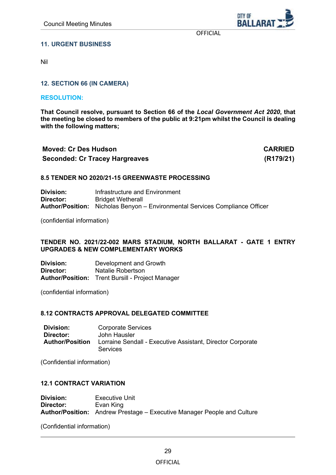CITY OF **BALLAR** 

**OFFICIAL** 

## <span id="page-28-0"></span>**11. URGENT BUSINESS**

Nil

## **12. SECTION 66 (IN CAMERA)**

#### **RESOLUTION:**

**That Council resolve, pursuant to Section 66 of the** *Local Government Act 2020***, that the meeting be closed to members of the public at 9:21pm whilst the Council is dealing with the following matters;**

| <b>Moved: Cr Des Hudson</b>           | <b>CARRIED</b> |
|---------------------------------------|----------------|
| <b>Seconded: Cr Tracey Hargreaves</b> | (R179/21)      |

#### **8.5 TENDER NO 2020/21-15 GREENWASTE PROCESSING**

**Division:** Infrastructure and Environment<br> **Director:** Bridget Wetherall **Bridget Wetherall Author/Position:** Nicholas Benyon – Environmental Services Compliance Officer

(confidential information)

#### **TENDER NO. 2021/22-002 MARS STADIUM, NORTH BALLARAT - GATE 1 ENTRY UPGRADES & NEW COMPLEMENTARY WORKS**

**Division:** Development and Growth **Director:** Natalie Robertson **Author/Position:** Trent Bursill - Project Manager

(confidential information)

#### **8.12 CONTRACTS APPROVAL DELEGATED COMMITTEE**

| Division:              | <b>Corporate Services</b>                                                     |
|------------------------|-------------------------------------------------------------------------------|
| Director:              | John Hausler                                                                  |
| <b>Author/Position</b> | Lorraine Sendall - Executive Assistant, Director Corporate<br><b>Services</b> |

(Confidential information)

#### **12.1 CONTRACT VARIATION**

**Division:** Executive Unit<br> **Director:** Evan King **Evan King Author/Position:** Andrew Prestage – Executive Manager People and Culture

(Confidential information)